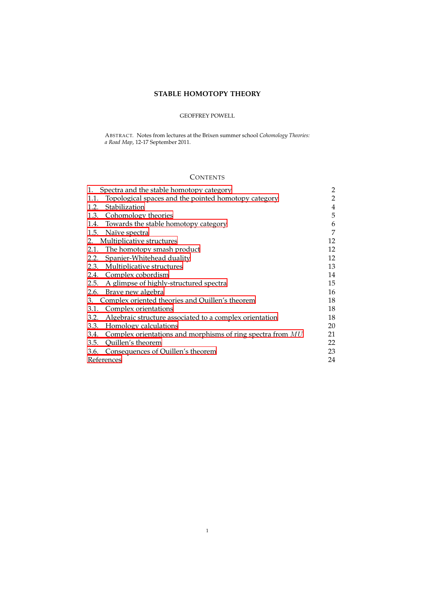# **STABLE HOMOTOPY THEORY**

# GEOFFREY POWELL

ABSTRACT. Notes from lectures at the Brixen summer school *Cohomology Theories: a Road Map*, 12-17 September 2011.

# **CONTENTS**

| Spectra and the stable homotopy category<br>1.                    | 2              |
|-------------------------------------------------------------------|----------------|
| Topological spaces and the pointed homotopy category<br>1.1.      | 2              |
| Stabilization<br>1.2.                                             | $\overline{4}$ |
| 1.3. Cohomology theories                                          | 5              |
| 1.4. Towards the stable homotopy category                         | 6              |
| 1.5. Naïve spectra                                                | 7              |
| 2. Multiplicative structures                                      | 12             |
| 2.1. The homotopy smash product                                   | 12             |
| 2.2. Spanier-Whitehead duality                                    | 12             |
| 2.3. Multiplicative structures                                    | 13             |
| 2.4. Complex cobordism                                            | 14             |
| 2.5. A glimpse of highly-structured spectra                       | 15             |
| 2.6. Brave new algebra                                            | 16             |
| Complex oriented theories and Quillen's theorem<br>3.             | 18             |
| 3.1. Complex orientations                                         | 18             |
| Algebraic structure associated to a complex orientation<br>3.2.   | 18             |
| 3.3. Homology calculations                                        | 20             |
| 3.4. Complex orientations and morphisms of ring spectra from $MU$ | 21             |
| 3.5. Quillen's theorem                                            | 22             |
| 3.6. Consequences of Quillen's theorem                            | 23             |
| References                                                        | 24             |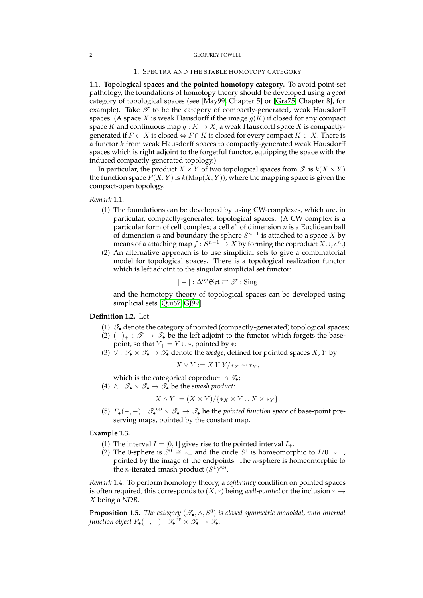## 1. SPECTRA AND THE STABLE HOMOTOPY CATEGORY

<span id="page-1-1"></span><span id="page-1-0"></span>1.1. **Topological spaces and the pointed homotopy category.** To avoid point-set pathology, the foundations of homotopy theory should be developed using a *good* category of topological spaces (see [\[May99,](#page-23-1) Chapter 5] or [\[Gra75,](#page-23-2) Chapter 8], for example). Take  $\mathscr T$  to be the category of compactly-generated, weak Hausdorff spaces. (A space X is weak Hausdorff if the image  $g(K)$  if closed for any compact space K and continuous map  $g: K \to X$ ; a weak Hausdorff space X is compactlygenerated if  $F \subset X$  is closed  $\Leftrightarrow F \cap K$  is closed for every compact  $K \subset X$ . There is a functor k from weak Hausdorff spaces to compactly-generated weak Hausdorff spaces which is right adjoint to the forgetful functor, equipping the space with the induced compactly-generated topology.)

In particular, the product  $X \times Y$  of two topological spaces from  $\mathscr{T}$  is  $k(X \times Y)$ the function space  $F(X, Y)$  is  $k(\text{Map}(X, Y))$ , where the mapping space is given the compact-open topology.

*Remark* 1.1*.*

- (1) The foundations can be developed by using CW-complexes, which are, in particular, compactly-generated topological spaces. (A CW complex is a particular form of cell complex; a cell  $e^n$  of dimension n is a Euclidean ball of dimension *n* and boundary the sphere  $S^{n-1}$  is attached to a space X by means of a attaching map  $f: S^{n-1} \to X$  by forming the coproduct  $X \cup_f e^n.$  )
- (2) An alternative approach is to use simplicial sets to give a combinatorial model for topological spaces. There is a topological realization functor which is left adjoint to the singular simplicial set functor:

$$
|-|:\Delta^{\mathrm{op}}\mathfrak{Set}\rightleftarrows\mathscr{T}:\mathrm{Sing}
$$

and the homotopy theory of topological spaces can be developed using simplicial sets [\[Qui67,](#page-23-3) [GJ99\]](#page-23-4).

## **Definition 1.2.** Let

- (1)  $\mathcal{T}_\bullet$  denote the category of pointed (compactly-generated) topological spaces;
- (2)  $(-)_+ : \mathscr{T} \to \mathscr{T}_\bullet$  be the left adjoint to the functor which forgets the basepoint, so that  $Y_+ = Y \cup *$ , pointed by  $*$ ;
- (3) ∨ :  $\mathcal{T}_{\bullet} \times \mathcal{T}_{\bullet} \to \mathcal{T}_{\bullet}$  denote the *wedge*, defined for pointed spaces X, Y by

$$
X \vee Y := X \amalg Y \mid *_{X} \sim *_{Y},
$$

which is the categorical coproduct in  $\mathcal{F}_{\bullet}$ ; (4)  $\land$  :  $\mathscr{T}_{\bullet} \times \mathscr{T}_{\bullet} \to \mathscr{T}_{\bullet}$  be the *smash product*:

$$
X \wedge Y := (X \times Y) / \{ \ast_X \times Y \cup X \times \ast_Y \}.
$$

(5)  $F_{\bullet}(-,-): \mathcal{F}_{\bullet}^{\text{op}} \times \mathcal{F}_{\bullet} \to \mathcal{F}_{\bullet}$  be the *pointed function space* of base-point preserving maps, pointed by the constant map.

## **Example 1.3.**

- (1) The interval  $I = [0, 1]$  gives rise to the pointed interval  $I_{+}$ .
- (2) The 0-sphere is  $S^0 \cong *_+$  and the circle  $S^1$  is homeomorphic to  $I/0 \sim 1$ , pointed by the image of the endpoints. The  $n$ -sphere is homeomorphic to the *n*-iterated smash product  $(S^1)^{\wedge n}$ .

*Remark* 1.4*.* To perform homotopy theory, a *cofibrancy* condition on pointed spaces is often required; this corresponds to  $(X, *)$  being *well-pointed* or the inclusion  $* \hookrightarrow$ X being a *NDR*.

**Proposition 1.5.** The category  $(\mathscr{T}_{\bullet}, \wedge, S^{0})$  is closed symmetric monoidal, with internal *function object*  $F_{\bullet}(-,-): \mathscr{T}_{\bullet}^{\mathrm{op}} \times \mathscr{T}_{\bullet} \to \mathscr{T}_{\bullet}$ .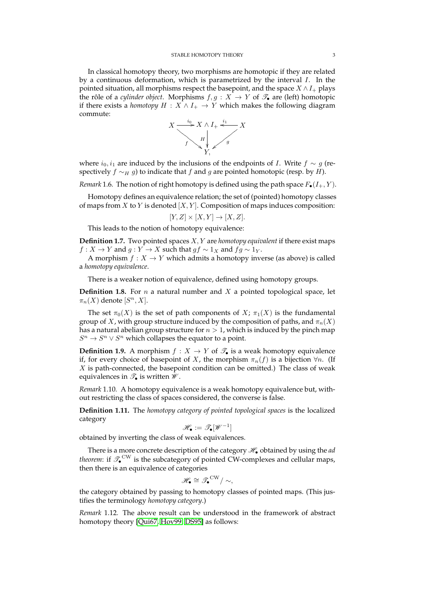In classical homotopy theory, two morphisms are homotopic if they are related by a continuous deformation, which is parametrized by the interval  $I$ . In the pointed situation, all morphisms respect the basepoint, and the space  $X \wedge I_+$  plays the rôle of a *cylinder object*. Morphisms  $f, g: X \to Y$  of  $\mathscr{T}_{\bullet}$  are (left) homotopic if there exists a *homotopy*  $H : X \wedge I_+ \rightarrow Y$  which makes the following diagram commute:



where  $i_0$ ,  $i_1$  are induced by the inclusions of the endpoints of *I*. Write  $f \sim g$  (respectively  $f \sim_H g$ ) to indicate that f and g are pointed homotopic (resp. by H).

*Remark* 1.6. The notion of right homotopy is defined using the path space  $F_{\bullet}(I_{+}, Y)$ .

Homotopy defines an equivalence relation; the set of (pointed) homotopy classes of maps from  $X$  to  $Y$  is denoted  $[X, Y]$ . Composition of maps induces composition:

$$
[Y, Z] \times [X, Y] \to [X, Z].
$$

This leads to the notion of homotopy equivalence:

**Definition 1.7.** Two pointed spaces X, Y are *homotopy equivalent* if there exist maps  $f: X \to Y$  and  $g: Y \to X$  such that  $gf \sim 1_X$  and  $fg \sim 1_Y$ .

A morphism  $f : X \to Y$  which admits a homotopy inverse (as above) is called a *homotopy equivalence*.

There is a weaker notion of equivalence, defined using homotopy groups.

**Definition 1.8.** For  $n$  a natural number and  $X$  a pointed topological space, let  $\pi_n(X)$  denote  $[S^n, X]$ .

The set  $\pi_0(X)$  is the set of path components of  $X$ ;  $\pi_1(X)$  is the fundamental group of X, with group structure induced by the composition of paths, and  $\pi_n(X)$ has a natural abelian group structure for  $n > 1$ , which is induced by the pinch map  $S^n \to S^n \vee S^n$  which collapses the equator to a point.

**Definition 1.9.** A morphism  $f : X \to Y$  of  $\mathcal{T}_\bullet$  is a weak homotopy equivalence if, for every choice of basepoint of X, the morphism  $\pi_n(f)$  is a bijection  $\forall n$ . (If  $X$  is path-connected, the basepoint condition can be omitted.) The class of weak equivalences in  $\mathcal{T}_\bullet$  is written  $\mathcal{W}$ .

*Remark* 1.10*.* A homotopy equivalence is a weak homotopy equivalence but, without restricting the class of spaces considered, the converse is false.

**Definition 1.11.** The *homotopy category of pointed topological spaces* is the localized category

$$
\mathscr{H}_\bullet:=\mathscr{T}_\bullet[\mathscr{W}^{-1}]
$$

obtained by inverting the class of weak equivalences.

There is a more concrete description of the category  $\mathcal{H}_{\bullet}$  obtained by using the *ad theorem*: if  $\mathscr{T}_\bullet^{\mathrm{CW}}$  is the subcategory of pointed CW-complexes and cellular maps, then there is an equivalence of categories

$$
\mathscr{H}_\bullet \cong \mathscr{T}_\bullet^{\mathrm{CW}}/\sim,
$$

the category obtained by passing to homotopy classes of pointed maps. (This justifies the terminology *homotopy category*.)

*Remark* 1.12*.* The above result can be understood in the framework of abstract homotopy theory [\[Qui67,](#page-23-3) [Hov99,](#page-23-5) [DS95\]](#page-23-6) as follows: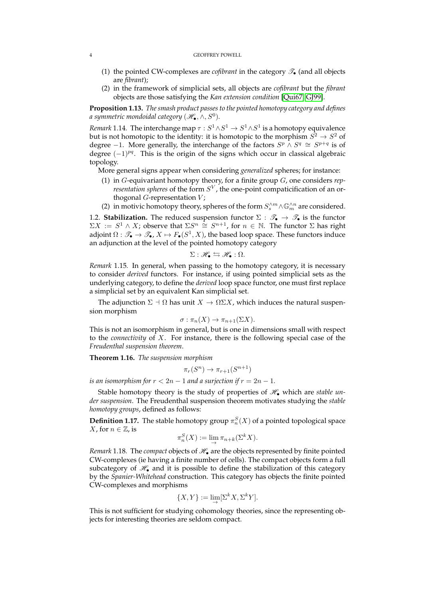- (1) the pointed CW-complexes are *cofibrant* in the category  $\mathscr{T}_{\bullet}$  (and all objects are *fibrant*);
- (2) in the framework of simplicial sets, all objects are *cofibrant* but the *fibrant* objects are those satisfying the *Kan extension condition* [\[Qui67,](#page-23-3) [GJ99\]](#page-23-4).

**Proposition 1.13.** *The smash product passes to the pointed homotopy category and defines a symmetric mondoidal category*  $(\mathscr{H}_\bullet, \wedge, S^0).$ 

*Remark* 1.14. The interchange map  $\tau : S^1 \wedge S^1 \to S^1 \wedge S^1$  is a homotopy equivalence but is not homotopic to the identity: it is homotopic to the morphism  $S^2\to S^2$  of degree -1. More generally, the interchange of the factors  $S^p \wedge S^q \cong S^{p+q}$  is of degree  $(-1)^{pq}$ . This is the origin of the signs which occur in classical algebraic topology.

More general signs appear when considering *generalized* spheres; for instance:

- (1) in G-equivariant homotopy theory, for a finite group G, one considers *representation spheres* of the form  $S^V$ , the one-point compaticification of an orthogonal  $G$ -representation  $V$ ;
- (2) in motivic homotopy theory, spheres of the form  $S_s^{\wedge m}\wedge\mathbb{G}_m^{\wedge n}$  are considered.

<span id="page-3-0"></span>1.2. **Stabilization.** The reduced suspension functor  $\Sigma : \mathcal{T}_\bullet \to \mathcal{T}_\bullet$  is the functor  $\Sigma X := S^1 \wedge X$ ; observe that  $\Sigma S^n \cong S^{n+1}$ , for  $n \in \mathbb{N}$ . The functor  $\Sigma$  has right adjoint  $\Omega: \mathscr{T}_\bullet \to \mathscr{T}_\bullet, X \mapsto F_\bullet(S^1,X)$ , the based loop space. These functors induce an adjunction at the level of the pointed homotopy category

$$
\Sigma: \mathscr{H}_\bullet \leftrightarrows \mathscr{H}_\bullet : \Omega.
$$

*Remark* 1.15*.* In general, when passing to the homotopy category, it is necessary to consider *derived* functors. For instance, if using pointed simplicial sets as the underlying category, to define the *derived* loop space functor, one must first replace a simplicial set by an equivalent Kan simplicial set.

The adjunction  $\Sigma \dashv \Omega$  has unit  $X \to \Omega \Sigma X$ , which induces the natural suspension morphism

$$
\sigma : \pi_n(X) \to \pi_{n+1}(\Sigma X).
$$

This is not an isomorphism in general, but is one in dimensions small with respect to the *connectivity* of X. For instance, there is the following special case of the *Freudenthal suspension theorem*.

**Theorem 1.16.** *The suspension morphism*

$$
\pi_r(S^n) \to \pi_{r+1}(S^{n+1})
$$

*is an isomorphism for*  $r < 2n - 1$  *and a surjection if*  $r = 2n - 1$ *.* 

Stable homotopy theory is the study of properties of  $\mathcal{H}_{\bullet}$  which are *stable under suspension*. The Freudenthal suspension theorem motivates studying the *stable homotopy groups*, defined as follows:

**Definition 1.17.** The stable homotopy group  $\pi_n^S(X)$  of a pointed topological space X, for  $n \in \mathbb{Z}$ , is

$$
\pi_n^S(X) := \lim_{\to} \pi_{n+k}(\Sigma^k X).
$$

*Remark* 1.18*.* The *compact* objects of  $\mathcal{H}_{\bullet}$  are the objects represented by finite pointed CW-complexes (ie having a finite number of cells). The compact objects form a full subcategory of  $\mathcal{H}_{\bullet}$  and it is possible to define the stabilization of this category by the *Spanier-Whitehead* construction. This category has objects the finite pointed CW-complexes and morphisms

$$
\{X, Y\} := \lim_{\to} [\Sigma^k X, \Sigma^k Y].
$$

This is not sufficient for studying cohomology theories, since the representing objects for interesting theories are seldom compact.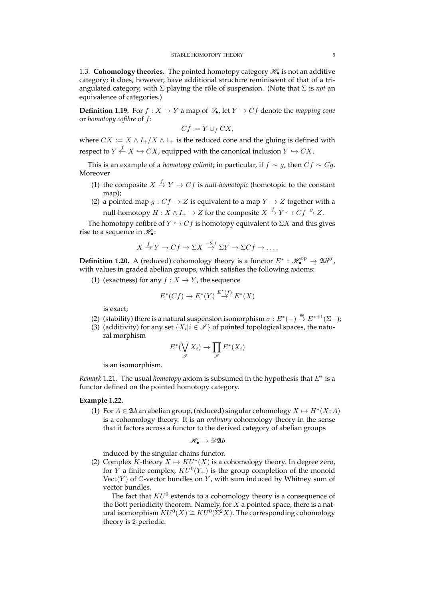<span id="page-4-0"></span>1.3. **Cohomology theories.** The pointed homotopy category  $\mathcal{H}_{\bullet}$  is not an additive category; it does, however, have additional structure reminiscent of that of a triangulated category, with Σ playing the rôle of suspension. (Note that Σ is *not* an equivalence of categories.)

**Definition 1.19.** For  $f : X \to Y$  a map of  $\mathcal{T}_{\bullet}$ , let  $Y \to Cf$  denote the *mapping cone* or *homotopy cofibre* of f:

$$
Cf := Y \cup_f CX,
$$

where  $CX := X \wedge I_+/X \wedge 1_+$  is the reduced cone and the gluing is defined with respect to  $Y \stackrel{f}{\leftarrow} X \hookrightarrow CX$ , equipped with the canonical inclusion  $Y \hookrightarrow CX$ .

This is an example of a *homotopy colimit*; in particular, if  $f \sim g$ , then  $Cf \sim Cg$ . Moreover

- (1) the composite  $X \stackrel{f}{\rightarrow} Y \rightarrow Cf$  is *null-homotopic* (homotopic to the constant map);
- (2) a pointed map  $g: Cf \rightarrow Z$  is equivalent to a map  $Y \rightarrow Z$  together with a null-homotopy  $H: X\wedge I_+ \to Z$  for the composite  $X\stackrel{f}{\to} Y \hookrightarrow C f\stackrel{g}{\to} Z.$

The homotopy cofibre of  $Y \hookrightarrow Cf$  is homotopy equivalent to  $\Sigma X$  and this gives rise to a sequence in  $\mathcal{H}_{\bullet}$ :

$$
X \xrightarrow{f} Y \to Cf \to \Sigma X \xrightarrow{-\Sigma f} \Sigma Y \to \Sigma Cf \to \dots
$$

<span id="page-4-1"></span>**Definition 1.20.** A (reduced) cohomology theory is a functor  $E^*$  :  $\mathscr{H}_\bullet^{\text{op}} \to \mathfrak{A}b^{\text{gr}}$ , with values in graded abelian groups, which satisfies the following axioms:

(1) (exactness) for any  $f : X \to Y$ , the sequence

$$
E^*(Cf) \to E^*(Y) \stackrel{E^*(f)}{\to} E^*(X)
$$

is exact;

- (2) (stability) there is a natural suspension isomorphism  $\sigma : E^*(-) \stackrel{\cong}{\rightarrow} E^{*+1}(\Sigma-)$ ;
- (3) (additivity) for any set  $\{X_i | i \in \mathcal{I}\}\$  of pointed topological spaces, the natural morphism

$$
E^*(\bigvee_{\mathscr{I}} X_i) \to \prod_{\mathscr{I}} E^*(X_i)
$$

is an isomorphism.

*Remark* 1.21*.* The usual *homotopy* axiom is subsumed in the hypothesis that E<sup>∗</sup> is a functor defined on the pointed homotopy category.

## **Example 1.22.**

(1) For  $A \in \mathfrak{Ab}$  an abelian group, (reduced) singular cohomology  $X \mapsto H^*(X; A)$ is a cohomology theory. It is an *ordinary* cohomology theory in the sense that it factors across a functor to the derived category of abelian groups

$$
\mathscr{H}_\bullet \to \mathscr{D}\mathfrak{A} b
$$

induced by the singular chains functor.

(2) Complex K-theory  $X \mapsto KU^*(X)$  is a cohomology theory. In degree zero, for Y a finite complex,  $KU^0(Y_+)$  is the group completion of the monoid  $Vect(Y)$  of C-vector bundles on Y, with sum induced by Whitney sum of vector bundles.

The fact that  $KU^0$  extends to a cohomology theory is a consequence of the Bott periodicity theorem. Namely, for  $X$  a pointed space, there is a natural isomorphism  $KU^0(X) \cong KU^0(\Sigma^2 X)$ . The corresponding cohomology theory is 2-periodic.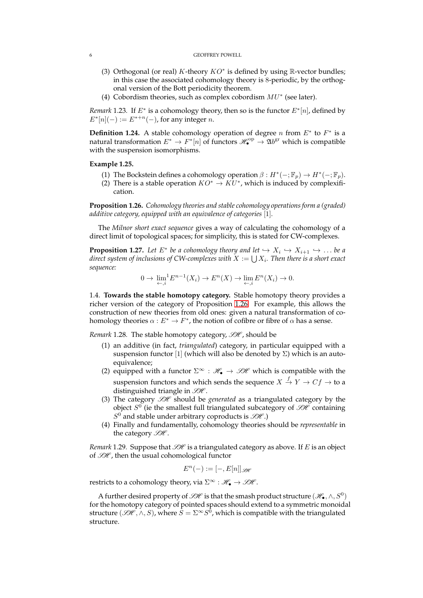- (3) Orthogonal (or real) K-theory  $KO^*$  is defined by using R-vector bundles; in this case the associated cohomology theory is 8-periodic, by the orthogonal version of the Bott periodicity theorem.
- (4) Cobordism theories, such as complex cobordism  $MU^*$  (see later).

*Remark* 1.23. If  $E^*$  is a cohomology theory, then so is the functor  $E^*[n]$ , defined by  $E^*[n](-) := E^{*+n}(-)$ , for any integer *n*.

**Definition 1.24.** A stable cohomology operation of degree *n* from  $E^*$  to  $F^*$  is a natural transformation  $E^* \to F^*[n]$  of functors  $\mathscr{H}_\bullet^{\text{op}} \to \mathfrak{A}b^{\text{gr}}$  which is compatible with the suspension isomorphisms.

## **Example 1.25.**

- (1) The Bockstein defines a cohomology operation  $\beta : H^*(-; \mathbb{F}_p) \to H^*(-; \mathbb{F}_p)$ .
- (2) There is a stable operation  $KO^* \to KU^*$ , which is induced by complexification.

<span id="page-5-1"></span>**Proposition 1.26.** *Cohomology theories and stable cohomology operations form a (graded) additive category, equipped with an equivalence of categories* [1]*.*

The *Milnor short exact sequence* gives a way of calculating the cohomology of a direct limit of topological spaces; for simplicity, this is stated for CW-complexes.

<span id="page-5-2"></span>**Proposition 1.27.** Let  $E^*$  be a cohomology theory and let  $\hookrightarrow X_i \hookrightarrow X_{i+1} \hookrightarrow \dots$  be a direct system of inclusions of CW-complexes with  $X:=\bigcup X_i.$  Then there is a short exact *sequence:*

$$
0 \to \lim_{\leftarrow, i} E^{n-1}(X_i) \to E^n(X) \to \lim_{\leftarrow, i} E^n(X_i) \to 0.
$$

<span id="page-5-0"></span>1.4. **Towards the stable homotopy category.** Stable homotopy theory provides a richer version of the category of Proposition [1.26.](#page-5-1) For example, this allows the construction of new theories from old ones: given a natural transformation of cohomology theories  $\alpha: E^* \to F^*$ , the notion of cofibre or fibre of  $\alpha$  has a sense.

*Remark* 1.28. The stable homotopy category,  $\mathcal{H}$ , should be

- (1) an additive (in fact, *triangulated*) category, in particular equipped with a suspension functor [1] (which will also be denoted by  $\Sigma$ ) which is an autoequivalence:
- (2) equipped with a functor  $\Sigma^{\infty}$  :  $\mathcal{H}_{\bullet} \to \mathcal{SH}$  which is compatible with the suspension functors and which sends the sequence  $X\stackrel{f}{\to} Y\to Cf\to$  to a distinguished triangle in  $H$ .
- (3) The category  $\mathcal{SH}$  should be *generated* as a triangulated category by the object  $S^0$  (ie the smallest full triangulated subcategory of  $\mathscr{H}$  containing  $S^0$  and stable under arbitrary coproducts is  $\mathscr{SH}$ .)
- (4) Finally and fundamentally, cohomology theories should be *representable* in the category  $\mathcal{GH}$ .

*Remark* 1.29*.* Suppose that  $\mathcal{H}$  is a triangulated category as above. If E is an object of  $\mathcal{GH}$ , then the usual cohomological functor

$$
E^n(-) := [-, E[n]]_{\mathcal{B\!H}}
$$

restricts to a cohomology theory, via  $\Sigma^{\infty}$  :  $\mathcal{H}_{\bullet} \to \mathcal{GH}$ .

A further desired property of  $\mathscr{GH}$  is that the smash product structure  $(\mathscr{H}_\bullet, \wedge, S^0)$ for the homotopy category of pointed spaces should extend to a symmetric monoidal structure  $(\mathscr{H},\wedge,S)$ , where  $\tilde{S}=\Sigma^{\infty}S^{\tilde{0}}$ , which is compatible with the triangulated structure.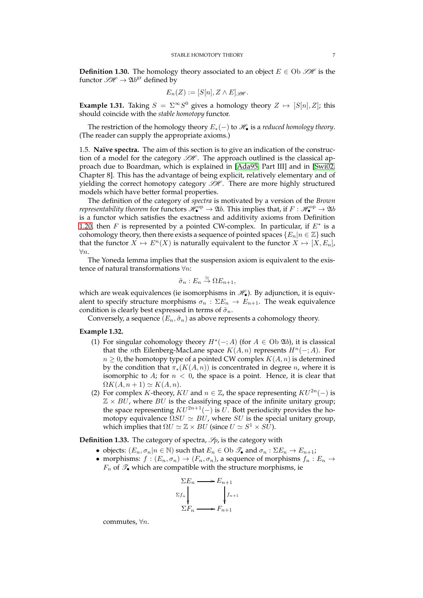**Definition 1.30.** The homology theory associated to an object  $E \in Ob \mathcal{H}$  is the functor  $\mathscr{H} \to \mathfrak{A}b^{\text{gr}}$  defined by

$$
E_n(Z) := [S[n], Z \wedge E]_{\mathscr{B\!H}}.
$$

**Example 1.31.** Taking  $S = \sum^{\infty} S^0$  gives a homology theory  $Z \mapsto [S[n], Z]$ ; this should coincide with the *stable homotopy* functor.

The restriction of the homology theory  $E_*(-)$  to  $\mathcal{H}_\bullet$  is a *reduced homology theory*. (The reader can supply the appropriate axioms.)

<span id="page-6-0"></span>1.5. **Naïve spectra.** The aim of this section is to give an indication of the construction of a model for the category  $\mathcal{H}$ . The approach outlined is the classical approach due to Boardman, which is explained in [\[Ada95,](#page-23-7) Part III] and in [\[Swi02,](#page-23-8) Chapter 8]. This has the advantage of being explicit, relatively elementary and of yielding the correct homotopy category  $\mathcal{H}$ . There are more highly structured models which have better formal properties.

The definition of the category of *spectra* is motivated by a version of the *Brown representability theorem* for functors  $\mathscr{H}_\bullet^\mathrm{op}\to \mathfrak{A} b$ . This implies that, if  $F:\mathscr{H}_\bullet^\mathrm{op}\to \mathfrak{A} b$ is a functor which satisfies the exactness and additivity axioms from Definition [1.20,](#page-4-1) then  $F$  is represented by a pointed CW-complex. In particular, if  $E^*$  is a cohomology theory, then there exists a sequence of pointed spaces  $\{E_n|n \in \mathbb{Z}\}\$  such that the functor  $X \mapsto E^{n}(X)$  is naturally equivalent to the functor  $X \mapsto [X, E_{n}]$ , ∀n.

The Yoneda lemma implies that the suspension axiom is equivalent to the existence of natural transformations  $\forall n$ :

$$
\tilde{\sigma}_n : E_n \overset{\simeq}{\to} \Omega E_{n+1},
$$

which are weak equivalences (ie isomorphisms in  $\mathcal{H}_{\bullet}$ ). By adjunction, it is equivalent to specify structure morphisms  $\sigma_n : \Sigma E_n \to E_{n+1}$ . The weak equivalence condition is clearly best expressed in terms of  $\tilde{\sigma}_n$ .

Conversely, a sequence  $(E_n, \tilde{\sigma}_n)$  as above represents a cohomology theory.

## **Example 1.32.**

- (1) For singular cohomology theory  $H^*(-;A)$  (for  $A \in Ob$  20*b*), it is classical that the *n*th Eilenberg-MacLane space  $K(A, n)$  represents  $H<sup>n</sup>(−; A)$ . For  $n \geq 0$ , the homotopy type of a pointed CW complex  $K(A, n)$  is determined by the condition that  $\pi_*(K(A, n))$  is concentrated in degree *n*, where it is isomorphic to A; for  $n < 0$ , the space is a point. Hence, it is clear that  $\Omega K(A, n+1) \simeq K(A, n).$
- (2) For complex K-theory, KU and  $n \in \mathbb{Z}$ , the space representing  $KU^{2n}(-)$  is  $\mathbb{Z} \times BU$ , where BU is the classifying space of the infinite unitary group; the space representing  $KU^{2n+1}(-)$  is  $U$ . Bott periodicity provides the homotopy equivalence  $\Omega SU \simeq BU$ , where SU is the special unitary group, which implies that  $\Omega U \simeq \mathbb{Z} \times BU$  (since  $U \simeq S^1 \times S\overline{U}$ ).

**Definition 1.33.** The category of spectra,  $\mathcal{S}_p$ , is the category with

- objects:  $(E_n, \sigma_n | n \in \mathbb{N})$  such that  $E_n \in \text{Ob } \mathscr{T}_{\bullet}$  and  $\sigma_n : \Sigma E_n \to E_{n+1}$ ;
- morphisms:  $f : (E_n, \sigma_n) \to (F_n, \sigma_n)$ , a sequence of morphisms  $f_n : E_n \to$  $F_n$  of  $\mathscr{T}_{\bullet}$  which are compatible with the structure morphisms, ie



commutes, ∀n.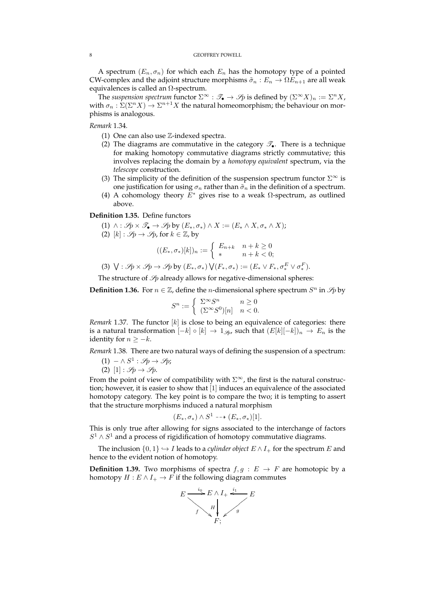A spectrum  $(E_n, \sigma_n)$  for which each  $E_n$  has the homotopy type of a pointed CW-complex and the adjoint structure morphisms  $\tilde{\sigma}_n : E_n \to \Omega E_{n+1}$  are all weak equivalences is called an  $\Omega$ -spectrum.

The *suspension spectrum* functor  $\Sigma^{\infty}$  :  $\mathcal{I}_{\bullet} \to \mathcal{I}_{p}$  is defined by  $(\Sigma^{\infty} X)_n := \Sigma^n X$ , with  $\sigma_n : \Sigma(\Sigma^n X) \to \Sigma^{n+1} X$  the natural homeomorphism; the behaviour on morphisms is analogous.

*Remark* 1.34*.*

- (1) One can also use Z-indexed spectra.
- (2) The diagrams are commutative in the category  $\mathscr{T}_{\bullet}$ . There is a technique for making homotopy commutative diagrams strictly commutative; this involves replacing the domain by a *homotopy equivalent* spectrum, via the *telescope* construction.
- (3) The simplicity of the definition of the suspension spectrum functor  $\Sigma^{\infty}$  is one justification for using  $\sigma_n$  rather than  $\tilde{\sigma}_n$  in the definition of a spectrum.
- (4) A cohomology theory  $E^*$  gives rise to a weak  $\Omega$ -spectrum, as outlined above.

## **Definition 1.35.** Define functors

- (1)  $\wedge$  :  $\mathscr{S}_{\mathbf{P}} \times \mathscr{T}_{\bullet} \to \mathscr{S}_{\mathbf{P}}$  by  $(E_*, \sigma_*) \wedge X := (E_* \wedge X, \sigma_* \wedge X);$
- (2)  $[k]: \mathcal{S}_p \rightarrow \mathcal{S}_p$ , for  $k \in \mathbb{Z}$ , by

$$
((E_*, \sigma_*)[k])_n := \begin{cases} E_{n+k} & n+k \ge 0\\ * & n+k < 0; \end{cases}
$$

(3)  $\bigvee : \mathscr{S}_p \times \mathscr{S}_p \to \mathscr{S}_p$  by  $(E_*, \sigma_*) \bigvee (F_*, \sigma_*) := (E_* \vee F_*, \sigma_*^E \vee \sigma_*^F).$ 

The structure of  $\mathcal{S}_p$  already allows for negative-dimensional spheres:

**Definition 1.36.** For  $n \in \mathbb{Z}$ , define the *n*-dimensional sphere spectrum  $S^n$  in  $\mathcal{P}_p$  by

$$
S^n := \begin{cases} \sum_{n \in \mathbb{Z}} S^n & n \ge 0 \\ (\sum_{n \in \mathbb{Z}} S^0)[n] & n < 0. \end{cases}
$$

*Remark* 1.37. The functor  $[k]$  is close to being an equivalence of categories: there is a natural transformation  $[-k] \circ [k] \to 1_{\mathcal{B}}$ , such that  $(E[k]-k])_n \to E_n$  is the identity for  $n \geq -k$ .

*Remark* 1.38*.* There are two natural ways of defining the suspension of a spectrum:

- $(1) \wedge S^1 : \mathcal{S}p \to \mathcal{S}p;$
- (2)  $[1]: \mathscr{S}_p \rightarrow \mathscr{S}_p$ .

From the point of view of compatibility with  $\Sigma^{\infty}$ , the first is the natural construction; however, it is easier to show that [1] induces an equivalence of the associated homotopy category. The key point is to compare the two; it is tempting to assert that the structure morphisms induced a natural morphism

$$
(E_*,\sigma_*) \wedge S^1 \dashrightarrow (E_*,\sigma_*)[1].
$$

This is only true after allowing for signs associated to the interchange of factors  $S<sup>1</sup> ∧ S<sup>1</sup>$  and a process of rigidification of homotopy commutative diagrams.

The inclusion  $\{0, 1\} \hookrightarrow I$  leads to a *cylinder object*  $E \wedge I_+$  for the spectrum E and hence to the evident notion of homotopy.

**Definition 1.39.** Two morphisms of spectra  $f, g : E \rightarrow F$  are homotopic by a homotopy  $H : E \wedge I_+ \to F$  if the following diagram commutes

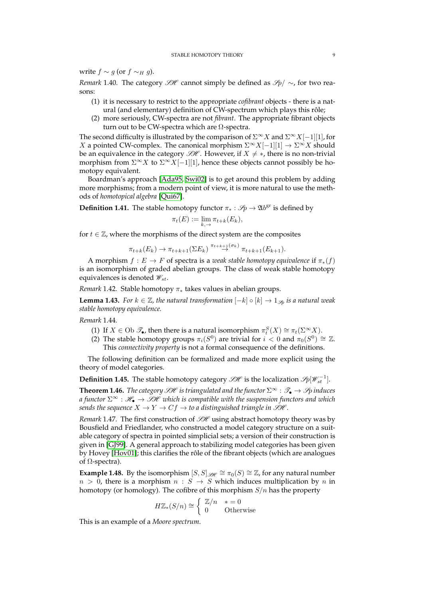write  $f \sim g$  (or  $f \sim_H g$ ).

*Remark* 1.40*.* The category  $\mathcal{H}$  cannot simply be defined as  $\mathcal{S}_p$ / ∼, for two reasons:

- (1) it is necessary to restrict to the appropriate *cofibrant* objects there is a natural (and elementary) definition of CW-spectrum which plays this rôle;
- (2) more seriously, CW-spectra are not *fibrant*. The appropriate fibrant objects turn out to be CW-spectra which are  $\Omega$ -spectra.

The second difficulty is illustrated by the comparison of  $\Sigma^{\infty}X$  and  $\Sigma^{\infty}X[-1][1]$ , for X a pointed CW-complex. The canonical morphism  $\Sigma^{\infty}X[-1][1] \to \Sigma^{\infty}X$  should be an equivalence in the category  $\mathcal{B}\mathcal{H}$ . However, if  $X \neq *,$  there is no non-trivial morphism from  $\Sigma^{\infty} X$  to  $\Sigma^{\infty} X[-1][1]$ , hence these objects cannot possibly be homotopy equivalent.

Boardman's approach [\[Ada95,](#page-23-7) [Swi02\]](#page-23-8) is to get around this problem by adding more morphisms; from a modern point of view, it is more natural to use the methods of *homotopical algebra* [\[Qui67\]](#page-23-3).

**Definition 1.41.** The stable homotopy functor  $\pi_* : \mathcal{S}_p \to \mathfrak{A}b^{\text{gr}}$  is defined by

$$
\pi_t(E) := \lim_{k, \to} \pi_{t+k}(E_k),
$$

for  $t \in \mathbb{Z}$ , where the morphisms of the direct system are the composites

$$
\pi_{t+k}(E_k) \to \pi_{t+k+1}(\Sigma E_k) \stackrel{\pi_{t+k+1}(\sigma_k)}{\to} \pi_{t+k+1}(E_{k+1}).
$$

A morphism  $f : E \to F$  of spectra is a *weak stable homotopy equivalence* if  $\pi_*(f)$ is an isomorphism of graded abelian groups. The class of weak stable homotopy equivalences is denoted  $\mathscr{W}_{st}$ .

*Remark* 1.42*.* Stable homotopy π<sup>∗</sup> takes values in abelian groups.

**Lemma 1.43.** *For*  $k \in \mathbb{Z}$ *, the natural transformation*  $[-k] \circ [k] \rightarrow 1_{\mathcal{S}}$  *is a natural weak stable homotopy equivalence.*

*Remark* 1.44*.*

- (1) If  $X \in \text{Ob }\mathscr{T}_{\bullet}$ , then there is a natural isomorphism  $\pi_t^S(X) \cong \pi_t(\Sigma^{\infty}X)$ .
- (2) The stable homotopy groups  $\pi_i(S^0)$  are trivial for  $i < 0$  and  $\pi_0(S^0) \cong \mathbb{Z}$ . This *connectivity property* is not a formal consequence of the definitions.

The following definition can be formalized and made more explicit using the theory of model categories.

**Definition 1.45.** The stable homotopy category  $\mathscr{SH}$  is the localization  $\mathscr{P}_1[\mathscr{W}_{st}^{-1}]$ .

**Theorem 1.46.** *The category*  $\mathcal{GH}$  *is triangulated and the functor*  $\Sigma^{\infty}$  :  $\mathcal{T}_{\bullet} \to \mathcal{S}_{p}$  *induces a functor*  $\Sigma^{\infty}$  :  $\mathcal{H}_{\bullet} \to \mathcal{H}$  *which is compatible with the suspension functors and which sends the sequence*  $X \to Y \to Cf \to t\alpha$  *distinguished triangle in SH.* 

*Remark* 1.47*.* The first construction of  $\mathcal{GH}$  using abstract homotopy theory was by Bousfield and Friedlander, who constructed a model category structure on a suitable category of spectra in pointed simplicial sets; a version of their construction is given in [\[GJ99\]](#page-23-4). A general approach to stabilizing model categories has been given by Hovey [\[Hov01\]](#page-23-9); this clarifies the rôle of the fibrant objects (which are analogues of Ω-spectra).

**Example 1.48.** By the isomorphism  $[S, S]_{\mathcal{B}\ell} \cong \pi_0(S) \cong \mathbb{Z}$ , for any natural number  $n > 0$ , there is a morphism  $n : S \rightarrow S$  which induces multiplication by n in homotopy (or homology). The cofibre of this morphism  $S/n$  has the property

$$
H\mathbb{Z}_*(S/n) \cong \left\{ \begin{array}{ll} \mathbb{Z}/n & * = 0 \\ 0 & \text{Otherwise} \end{array} \right.
$$

This is an example of a *Moore spectrum*.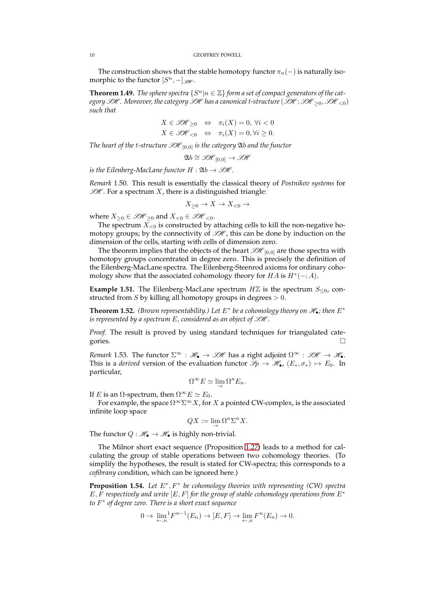The construction shows that the stable homotopy functor  $\pi_n(-)$  is naturally isomorphic to the functor  $[S^n, -]_{\mathscr{B\!E}}$ .

**Theorem 1.49.** *The sphere spectra*  $\{S^n | n \in \mathbb{Z}\}$  *form a set of compact generators of the category*  $SH$ . Moreover, the category  $SH$  has a canonical t-structure ( $SH$ ;  $SH_{>0}$ ,  $SH_{<0}$ ) *such that*

$$
X \in \mathcal{H}_{\geq 0} \iff \pi_i(X) = 0, \forall i < 0
$$
\n
$$
X \in \mathcal{H}_{\leq 0} \iff \pi_i(X) = 0, \forall i \geq 0.
$$

*The heart of the t-structure*  $\mathcal{H}_{[0,0]}$  *is the category* 2*b and the functor* 

$$
\mathfrak{A}b\cong \mathscr{SH}_{[0,0]}\to \mathscr{SH}
$$

*is the Eilenberg-MacLane functor*  $H : \mathfrak{A}b \rightarrow \mathcal{GH}$ .

*Remark* 1.50*.* This result is essentially the classical theory of *Postnikov systems* for  $\mathcal{H}$ . For a spectrum X, there is a distinguished triangle:

$$
X_{\geq 0} \to X \to X_{<0} \to
$$

where  $X>0 \in \mathcal{SH}>0$  and  $X<0 \in \mathcal{SH}<0$ .

The spectrum  $X_{\leq 0}$  is constructed by attaching cells to kill the non-negative homotopy groups; by the connectivity of  $\mathcal{SH}$ , this can be done by induction on the dimension of the cells, starting with cells of dimension zero.

The theorem implies that the objects of the heart  $\mathscr{H}_{[0,0]}$  are those spectra with homotopy groups concentrated in degree zero. This is precisely the definition of the Eilenberg-MacLane spectra. The Eilenberg-Steenrod axioms for ordinary cohomology show that the associated cohomology theory for  $HA$  is  $H^*(-;A)$ .

**Example 1.51.** The Eilenberg-MacLane spectrum  $H\mathbb{Z}$  is the spectrum  $S_{\leq 0}$ , constructed from S by killing all homotopy groups in degrees  $> 0$ .

**Theorem 1.52.** (Brown representability.) Let  $E^*$  be a cohomology theory on  $\mathscr{H}_{\bullet}$ ; then  $E^*$ *is represented by a spectrum E*, considered as an object of  $\mathcal{GH}$ .

*Proof.* The result is proved by using standard techniques for triangulated categories.

*Remark* 1.53. The functor  $\Sigma^{\infty}$  :  $\mathcal{H}_{\bullet} \to \mathcal{H}$  has a right adjoint  $\Omega^{\infty}$  :  $\mathcal{H} \to \mathcal{H}_{\bullet}$ . This is a *derived* version of the evaluation functor  $\mathscr{S}_p \to \mathscr{H}_{\bullet}$ ,  $(E_*, \sigma_*) \mapsto E_0$ . In particular,

$$
\Omega^{\infty} E \simeq \lim_{\rightarrow} \Omega^{n} E_{n}.
$$

If *E* is an  $\Omega$ -spectrum, then  $\Omega^{\infty}E \simeq E_0$ .

For example, the space  $\Omega^{\infty} \Sigma^{\infty} X$ , for X a pointed CW-complex, is the associated infinite loop space

$$
QX:=\lim_{\rightarrow} \Omega^n\Sigma^nX.
$$

The functor  $Q : \mathcal{H}_{\bullet} \to \mathcal{H}_{\bullet}$  is highly non-trivial.

The Milnor short exact sequence (Proposition [1.27\)](#page-5-2) leads to a method for calculating the group of stable operations between two cohomology theories. (To simplify the hypotheses, the result is stated for CW-spectra; this corresponds to a *cofibrany* condition, which can be ignored here.)

**Proposition 1.54.** *Let* E ∗ , F<sup>∗</sup> *be cohomology theories with representing (CW) spectra* E, F *respectively and write* [E, F] *for the group of stable cohomology operations from* E<sup>∗</sup> *to* F ∗ *of degree zero. There is a short exact sequence*

$$
0 \to \lim_{\leftarrow, n} {}^{1}F^{n-1}(E_n) \to [E, F] \to \lim_{\leftarrow, n} F^{n}(E_n) \to 0.
$$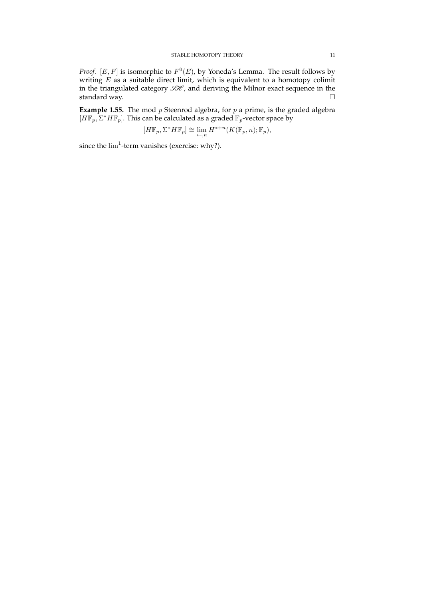*Proof.*  $[E, F]$  is isomorphic to  $F^0(E)$ , by Yoneda's Lemma. The result follows by writing  $E$  as a suitable direct limit, which is equivalent to a homotopy colimit in the triangulated category  $\mathcal{GH}$ , and deriving the Milnor exact sequence in the standard way.

**Example 1.55.** The mod p Steenrod algebra, for p a prime, is the graded algebra  $[H\mathbb{F}_p, \Sigma^* H\mathbb{F}_p]$ . This can be calculated as a graded  $\mathbb{F}_p$ -vector space by

$$
[H\mathbb{F}_p, \Sigma^* H\mathbb{F}_p] \cong \lim_{\leftarrow,n} H^{*+n}(K(\mathbb{F}_p,n);\mathbb{F}_p),
$$

since the  $\lim^1$ -term vanishes (exercise: why?).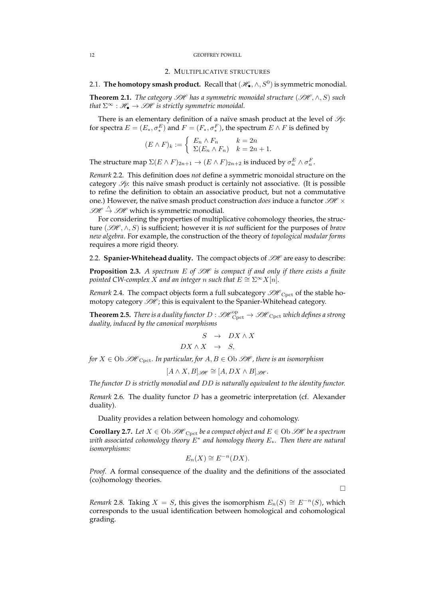### 2. MULTIPLICATIVE STRUCTURES

# <span id="page-11-1"></span><span id="page-11-0"></span>2.1. The homotopy smash product. Recall that  $(\mathscr{H}_\bullet, \wedge, S^0)$  is symmetric monodial.

**Theorem 2.1.** *The category*  $\mathscr{H}$  *has a symmetric monoidal structure* ( $\mathscr{H}, \wedge, S$ ) *such that*  $\Sigma^{\infty}$  :  $\mathcal{H}_{\bullet} \to \mathcal{H}$  *is strictly symmetric monoidal.* 

There is an elementary definition of a naïve smash product at the level of  $\mathcal{S}_p$ : for spectra  $E = (E_*, \sigma_*^E)$  and  $F = (F_*, \sigma_*^F)$ , the spectrum  $E \wedge F$  is defined by

$$
(E \wedge F)_k := \begin{cases} E_n \wedge F_n & k = 2n \\ \Sigma(E_n \wedge F_n) & k = 2n + 1. \end{cases}
$$

The structure map  $\Sigma (E \wedge F)_{2n+1} \to (E \wedge F)_{2n+2}$  is induced by  $\sigma_n^E \wedge \sigma_n^F$ .

*Remark* 2.2*.* This definition does *not* define a symmetric monoidal structure on the category  $\mathcal{S}_p$ : this naïve smash product is certainly not associative. (It is possible to refine the definition to obtain an associative product, but not a commutative one.) However, the naïve smash product construction *does* induce a functor  $\mathcal{GH} \times$  $\mathcal{GH} \overset{\wedge}{\rightarrow} \mathcal{GH}$  which is symmetric monodial.

For considering the properties of multiplicative cohomology theories, the structure (SH , ∧, S) is sufficient; however it is *not* sufficient for the purposes of *brave new algebra*. For example, the construction of the theory of *topological modular forms* requires a more rigid theory.

<span id="page-11-2"></span>2.2. **Spanier-Whitehead duality.** The compact objects of  $\mathcal{H}$  are easy to describe:

**Proposition 2.3.** *A spectrum E of*  $\mathcal{GH}$  *is compact if and only if there exists a finite pointed CW-complex X and an integer n such that*  $E \cong \Sigma^{\infty} X[n]$ *.* 

*Remark* 2.4. The compact objects form a full subcategory  $\mathcal{H}_{\text{Cpt}}$  of the stable homotopy category  $\mathcal{SH}$  ; this is equivalent to the Spanier-Whitehead category.

**Theorem 2.5.** *There is a duality functor D*  $:\mathscr{SH}^{\rm op}_{\rm Cpt} \to \mathscr{SH}_{\rm Cpt}$  *which defines a strong duality, induced by the canonical morphisms*

$$
S \rightarrow DX \wedge X
$$
  

$$
DX \wedge X \rightarrow S,
$$

*for*  $X \in \mathrm{Ob} \mathcal{H}_{\mathrm{Cpct}}$ *. In particular, for*  $A, B \in \mathrm{Ob} \mathcal{H}$ *, there is an isomorphism* 

$$
[A \wedge X, B]_{\mathscr{B\!H}} \cong [A, DX \wedge B]_{\mathscr{B\!H}}.
$$

*The functor* D *is strictly monodial and* DD *is naturally equivalent to the identity functor.*

*Remark* 2.6*.* The duality functor D has a geometric interpretation (cf. Alexander duality).

Duality provides a relation between homology and cohomology.

**Corollary 2.7.** Let  $X \in Ob \mathcal{H}_{Cnot}$  be a compact object and  $E \in Ob \mathcal{H}$  be a spectrum *with associated cohomology theory* E<sup>∗</sup> *and homology theory* E∗*. Then there are natural isomorphisms:*

$$
E_n(X) \cong E^{-n}(DX).
$$

*Proof.* A formal consequence of the duality and the definitions of the associated (co)homology theories.

 $\Box$ 

*Remark* 2.8*.* Taking  $X = S$ , this gives the isomorphism  $E_n(S) \cong E^{-n}(S)$ , which corresponds to the usual identification between homological and cohomological grading.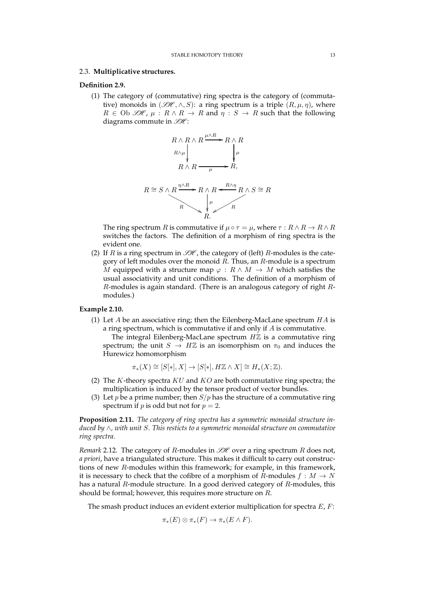## <span id="page-12-0"></span>2.3. **Multiplicative structures.**

## **Definition 2.9.**

(1) The category of (commutative) ring spectra is the category of (commutative) monoids in  $(\mathcal{H}, \wedge, S)$ : a ring spectrum is a triple  $(R, \mu, \eta)$ , where  $R \in \text{Ob }\mathscr{B}\mathscr{H}$ ,  $\mu: R \wedge R \to R$  and  $\eta: S \to R$  such that the following diagrams commute in  $\mathcal{H}$ :



The ring spectrum R is commutative if  $\mu \circ \tau = \mu$ , where  $\tau : R \wedge R \to R \wedge R$ switches the factors. The definition of a morphism of ring spectra is the evident one.

(2) If R is a ring spectrum in  $\mathcal{H}$ , the category of (left) R-modules is the category of left modules over the monoid  $\overline{R}$ . Thus, an  $R$ -module is a spectrum M equipped with a structure map  $\varphi : R \wedge M \to M$  which satisfies the usual associativity and unit conditions. The definition of a morphism of R-modules is again standard. (There is an analogous category of right Rmodules.)

## **Example 2.10.**

(1) Let  $A$  be an associative ring; then the Eilenberg-MacLane spectrum  $HA$  is a ring spectrum, which is commutative if and only if A is commutative.

The integral Eilenberg-MacLane spectrum  $H\mathbb{Z}$  is a commutative ring spectrum; the unit  $S \to H\mathbb{Z}$  is an isomorphism on  $\pi_0$  and induces the Hurewicz homomorphism

$$
\pi_*(X) \cong [S[*], X] \to [S[*], H\mathbb{Z} \wedge X] \cong H_*(X; \mathbb{Z}).
$$

- (2) The K-theory spectra  $KU$  and  $KO$  are both commutative ring spectra; the multiplication is induced by the tensor product of vector bundles.
- (3) Let *p* be a prime number; then  $S/p$  has the structure of a commutative ring spectrum if *p* is odd but not for  $p = 2$ .

**Proposition 2.11.** *The category of ring spectra has a symmetric monoidal structure induced by* ∧*, with unit* S*. This resticts to a symmetric monoidal structure on commutative ring spectra.*

*Remark* 2.12*.* The category of R-modules in  $H$  over a ring spectrum R does not, *a priori*, have a triangulated structure. This makes it difficult to carry out constructions of new R-modules within this framework; for example, in this framework, it is necessary to check that the cofibre of a morphism of R-modules  $f : M \to N$ has a natural  $R$ -module structure. In a good derived category of  $R$ -modules, this should be formal; however, this requires more structure on R.

The smash product induces an evident exterior multiplication for spectra  $E$ ,  $F$ :

$$
\pi_*(E) \otimes \pi_*(F) \to \pi_*(E \wedge F).
$$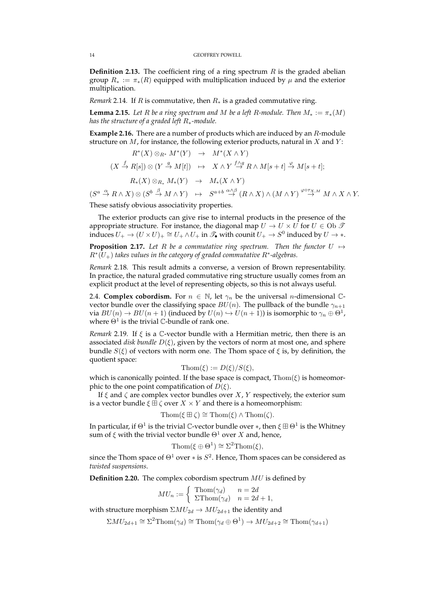**Definition 2.13.** The coefficient ring of a ring spectrum  $R$  is the graded abelian group  $R_* := \pi_*(R)$  equipped with multiplication induced by  $\mu$  and the exterior multiplication.

*Remark* 2.14*.* If *R* is commutative, then  $R∗$  is a graded commutative ring.

**Lemma 2.15.** *Let* R *be a ring spectrum and* M *be a left* R-module. Then  $M_* := \pi_*(M)$ *has the structure of a graded left* R∗*-module.*

**Example 2.16.** There are a number of products which are induced by an R-module structure on  $M$ , for instance, the following exterior products, natural in  $X$  and  $Y$ :

$$
R^*(X) \otimes_{R^*} M^*(Y) \rightarrow M^*(X \wedge Y)
$$
  
\n
$$
(X \xrightarrow{f} R[s]) \otimes (Y \xrightarrow{g} M[t]) \rightarrow X \wedge Y \xrightarrow{f \wedge g} R \wedge M[s+t] \xrightarrow{\varphi} M[s+t];
$$
  
\n
$$
R_*(X) \otimes_{R_*} M_*(Y) \rightarrow M_*(X \wedge Y)
$$
  
\n
$$
a \xrightarrow{\alpha} R \wedge X) \otimes (S^b \xrightarrow{\beta} M \wedge Y) \rightarrow S^{a+b} \xrightarrow{\alpha \wedge \beta} (R \wedge X) \wedge (M \wedge Y) \xrightarrow{\varphi \circ \tau_{X,M}} M \wedge X \wedge Y.
$$

These satisfy obvious associativity properties.

The exterior products can give rise to internal products in the presence of the appropriate structure. For instance, the diagonal map  $U\to U\times U$  for  $U\in \mbox{Ob }\mathscr{T}$ induces  $U_+ \to (U \times U)_+ \cong U_+ \wedge U_+$  in  $\mathscr{T}_{\bullet}$  with counit  $U_+ \to S^0$  induced by  $U \to *$ . **Proposition 2.17.** Let R be a commutative ring spectrum. Then the functor  $U \mapsto$ 

R<sup>∗</sup> (U+) *takes values in the category of graded commutative* R<sup>∗</sup> *-algebras.*

*Remark* 2.18*.* This result admits a converse, a version of Brown representability. In practice, the natural graded commutative ring structure usually comes from an explicit product at the level of representing objects, so this is not always useful.

<span id="page-13-0"></span>2.4. **Complex cobordism.** For  $n \in \mathbb{N}$ , let  $\gamma_n$  be the universal *n*-dimensional Cvector bundle over the classifying space  $BU(n)$ . The pullback of the bundle  $\gamma_{n+1}$ via  $BU(n)\to BU(n+1)$  (induced by  $U(n)\hookrightarrow U(n+1)$ ) is isomorphic to  $\gamma_n\oplus\Theta^1$ , where  $\Theta^1$  is the trivial C-bundle of rank one.

*Remark* 2.19. If  $\xi$  is a  $\mathbb{C}$ -vector bundle with a Hermitian metric, then there is an associated *disk bundle*  $D(\xi)$ , given by the vectors of norm at most one, and sphere bundle  $S(\xi)$  of vectors with norm one. The Thom space of  $\xi$  is, by definition, the quotient space:

$$
\mathrm{Thom}(\xi) := D(\xi)/S(\xi),
$$

which is canonically pointed. If the base space is compact,  $\text{Thom}(\xi)$  is homeomorphic to the one point compatification of  $D(\xi)$ .

If  $\xi$  and  $\zeta$  are complex vector bundles over  $X$ ,  $Y$  respectively, the exterior sum is a vector bundle  $\xi \boxplus \zeta$  over  $X \times Y$  and there is a homeomorphism:

$$
\mathrm{Thom}(\xi \boxplus \zeta) \cong \mathrm{Thom}(\xi) \wedge \mathrm{Thom}(\zeta).
$$

In particular, if  $\Theta^1$  is the trivial C-vector bundle over  $*$ , then  $\xi\boxplus\Theta^1$  is the Whitney sum of  $\xi$  with the trivial vector bundle  $\Theta$ <sup>1</sup> over X and, hence,

$$
\mathrm{Thom}(\xi \oplus \Theta^1) \cong \Sigma^2 \mathrm{Thom}(\xi),
$$

since the Thom space of  $\Theta^1$  over  $*$  is  $S^2$ . Hence, Thom spaces can be considered as *twisted suspensions*.

**Definition 2.20.** The complex cobordism spectrum MU is defined by

$$
MU_n := \begin{cases} \text{Thom}(\gamma_d) & n = 2d \\ \text{Trhom}(\gamma_d) & n = 2d + 1, \end{cases}
$$

with structure morphism  $\Sigma MU_{2d} \to MU_{2d+1}$  the identity and

$$
\Sigma MU_{2d+1} \cong \Sigma^2 \text{Thom}(\gamma_d) \cong \text{Thom}(\gamma_d \oplus \Theta^1) \to MU_{2d+2} \cong \text{Thom}(\gamma_{d+1})
$$

 $(S^a$ .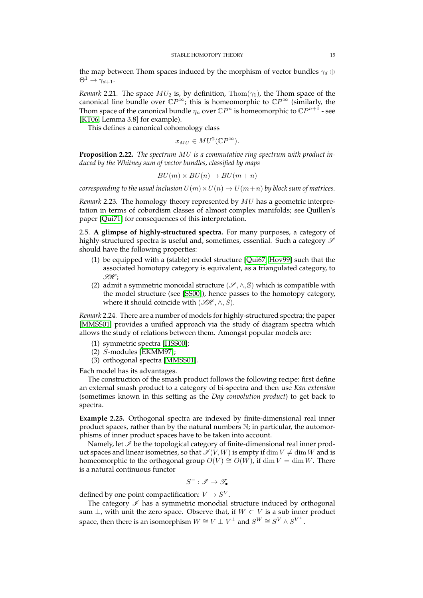the map between Thom spaces induced by the morphism of vector bundles  $\gamma_d \oplus$  $\Theta^1 \rightarrow \gamma_{d+1}.$ 

*Remark* 2.21. The space  $MU_2$  is, by definition,  $Thom(\gamma_1)$ , the Thom space of the canonical line bundle over  $\mathbb{C}P^{\infty}$ ; this is homeomorphic to  $\mathbb{C}P^{\infty}$  (similarly, the Thom space of the canonical bundle  $\eta_n$  over  $\mathbb{C}P^n$  is homeomorphic to  $\mathbb{C}P^{n+1}$  - see [\[KT06,](#page-23-10) Lemma 3.8] for example).

This defines a canonical cohomology class

$$
x_{MU} \in MU^{2}(\mathbb{C}P^{\infty}).
$$

**Proposition 2.22.** *The spectrum* MU *is a commutative ring spectrum with product induced by the Whitney sum of vector bundles, classified by maps*

$$
BU(m) \times BU(n) \to BU(m+n)
$$

*corresponding to the usual inclusion*  $U(m) \times U(n) \rightarrow U(m+n)$  *by block sum of matrices.* 

*Remark* 2.23*.* The homology theory represented by MU has a geometric interpretation in terms of cobordism classes of almost complex manifolds; see Quillen's paper [\[Qui71\]](#page-23-11) for consequences of this interpretation.

<span id="page-14-0"></span>2.5. **A glimpse of highly-structured spectra.** For many purposes, a category of highly-structured spectra is useful and, sometimes, essential. Such a category  $\mathscr S$ should have the following properties:

- (1) be equipped with a (stable) model structure [\[Qui67,](#page-23-3) [Hov99\]](#page-23-5) such that the associated homotopy category is equivalent, as a triangulated category, to  $\mathscr{H}$ ;
- (2) admit a symmetric monoidal structure ( $\mathscr{S}, \wedge, \mathbb{S}$ ) which is compatible with the model structure (see [\[SS00\]](#page-23-12)), hence passes to the homotopy category, where it should coincide with  $(\mathcal{GH}, \wedge, S)$ .

*Remark* 2.24*.* There are a number of models for highly-structured spectra; the paper [\[MMSS01\]](#page-23-13) provides a unified approach via the study of diagram spectra which allows the study of relations between them. Amongst popular models are:

- (1) symmetric spectra [\[HSS00\]](#page-23-14);
- (2) S-modules [\[EKMM97\]](#page-23-15);
- (3) orthogonal spectra [\[MMSS01\]](#page-23-13).

Each model has its advantages.

The construction of the smash product follows the following recipe: first define an external smash product to a category of bi-spectra and then use *Kan extension* (sometimes known in this setting as the *Day convolution product*) to get back to spectra.

**Example 2.25.** Orthogonal spectra are indexed by finite-dimensional real inner product spaces, rather than by the natural numbers N; in particular, the automorphisms of inner product spaces have to be taken into account.

Namely, let  $\mathcal I$  be the topological category of finite-dimensional real inner product spaces and linear isometries, so that  $\mathcal{I}(V, W)$  is empty if  $\dim V \neq \dim W$  and is homeomorphic to the orthogonal group  $O(V) \cong O(W)$ , if dim  $V = \dim W$ . There is a natural continuous functor

$$
S^-:\mathscr{I}\to\mathscr{T}_\bullet
$$

defined by one point compactification:  $V \mapsto S^V$ .

The category  $\mathscr I$  has a symmetric monodial structure induced by orthogonal sum  $\bot$ , with unit the zero space. Observe that, if  $W \subset V$  is a sub inner product space, then there is an isomorphism  $W \cong V \perp V^{\perp}$  and  $S^W \cong S^V \wedge S^{V^{\perp}}$ .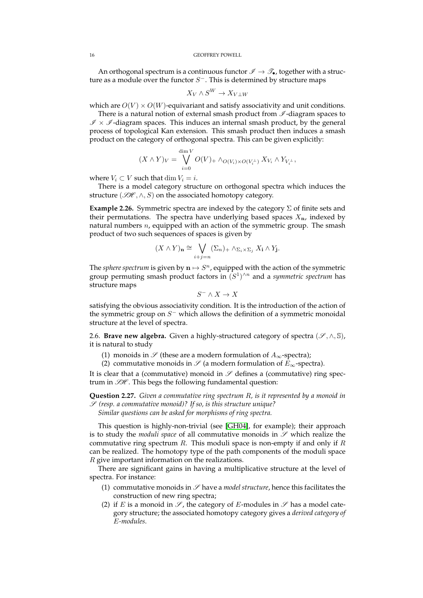An orthogonal spectrum is a continuous functor  $\mathscr{I} \to \mathscr{T}_{\bullet}$ , together with a structure as a module over the functor  $S^-$ . This is determined by structure maps

$$
X_V \wedge S^W \to X_{V \perp W}
$$

which are  $O(V) \times O(W)$ -equivariant and satisfy associativity and unit conditions.

There is a natural notion of external smash product from  $\mathscr I$ -diagram spaces to  $\mathscr{I} \times \mathscr{I}$ -diagram spaces. This induces an internal smash product, by the general process of topological Kan extension. This smash product then induces a smash product on the category of orthogonal spectra. This can be given explicitly:

$$
(X \wedge Y)_V = \bigvee_{i=0}^{\dim V} O(V)_+ \wedge_{O(V_i) \times O(V_i^{\perp})} X_{V_i} \wedge Y_{V_i^{\perp}},
$$

where  $V_i \subset V$  such that dim  $V_i = i$ .

There is a model category structure on orthogonal spectra which induces the structure ( $\mathcal{SH}, \wedge, S$ ) on the associated homotopy category.

**Example 2.26.** Symmetric spectra are indexed by the category  $\Sigma$  of finite sets and their permutations. The spectra have underlying based spaces  $X_n$ , indexed by natural numbers  $n$ , equipped with an action of the symmetric group. The smash product of two such sequences of spaces is given by

$$
(X \wedge Y)_{\mathbf{n}} \cong \bigvee_{i+j=n} (\Sigma_n)_+ \wedge_{\Sigma_i \times \Sigma_j} X_{\mathbf{i}} \wedge Y_{\mathbf{j}}.
$$

The *sphere spectrum* is given by  $\mathbf{n} \mapsto S^n$ , equipped with the action of the symmetric group permuting smash product factors in  $(S<sup>1</sup>)<sup>\wedge n</sup>$  and a *symmetric spectrum* has structure maps

$$
S^-\wedge X\to X
$$

satisfying the obvious associativity condition. It is the introduction of the action of the symmetric group on  $S^-$  which allows the definition of a symmetric monoidal structure at the level of spectra.

<span id="page-15-0"></span>2.6. **Brave new algebra.** Given a highly-structured category of spectra ( $\mathscr{S}, \wedge, \mathbb{S}$ ), it is natural to study

- (1) monoids in  $\mathscr S$  (these are a modern formulation of  $A_\infty$ -spectra);
- (2) commutative monoids in  $\mathscr S$  (a modern formulation of  $E_{\infty}$ -spectra).

It is clear that a (commutative) monoid in  $\mathscr S$  defines a (commutative) ring spectrum in  $\mathcal{GH}$ . This begs the following fundamental question:

**Question 2.27.** *Given a commutative ring spectrum* R*, is it represented by a monoid in* S *(resp. a commutative monoid)? If so, is this structure unique? Similar questions can be asked for morphisms of ring spectra.*

This question is highly-non-trivial (see [\[GH04\]](#page-23-16), for example); their approach is to study the *moduli space* of all commutative monoids in  $\mathscr S$  which realize the commutative ring spectrum  $R$ . This moduli space is non-empty if and only if  $R$ can be realized. The homotopy type of the path components of the moduli space R give important information on the realizations.

There are significant gains in having a multiplicative structure at the level of spectra. For instance:

- (1) commutative monoids in  $\mathscr S$  have a *model structure*, hence this facilitates the construction of new ring spectra;
- (2) if E is a monoid in  $\mathscr{S}$ , the category of E-modules in  $\mathscr{S}$  has a model category structure; the associated homotopy category gives a *derived category of* E*-modules*.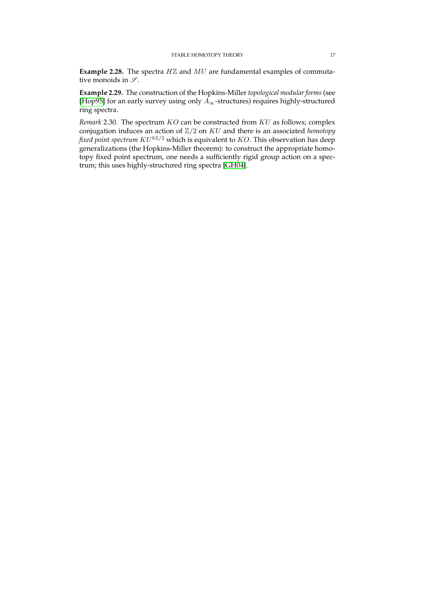**Example 2.28.** The spectra HZ and MU are fundamental examples of commutative monoids in  $\mathcal{S}.$ 

**Example 2.29.** The construction of the Hopkins-Miller *topological modular forms* (see [\[Hop95\]](#page-23-17) for an early survey using only  $A_{\infty}$ -structures) requires highly-structured ring spectra.

*Remark* 2.30*.* The spectrum KO can be constructed from KU as follows; complex conjugation induces an action of Z/2 on KU and there is an associated *homotopy fixed point spectrum*  $KU^{h\mathbb{Z}/2}$  which is equivalent to *KO*. This observation has deep generalizations (the Hopkins-Miller theorem): to construct the appropriate homotopy fixed point spectrum, one needs a sufficiently rigid group action on a spectrum; this uses highly-structured ring spectra [\[GH04\]](#page-23-16).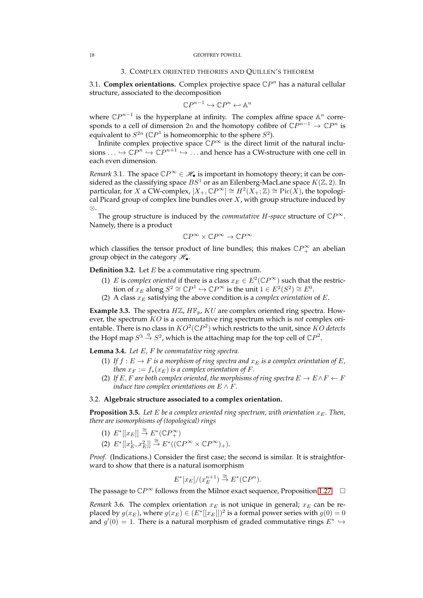### 3. COMPLEX ORIENTED THEORIES AND QUILLEN'S THEOREM

<span id="page-17-1"></span><span id="page-17-0"></span>3.1. **Complex orientations.** Complex projective space  $\mathbb{C}P^n$  has a natural cellular structure, associated to the decomposition

$$
\mathbb{C}P^{n-1}\hookrightarrow \mathbb{C}P^n\hookleftarrow \mathbb{A}^n
$$

where  $\mathbb{C}P^{n-1}$  is the hyperplane at infinity. The complex affine space  $\mathbb{A}^n$  corresponds to a cell of dimension 2n and the homotopy cofibre of  $\mathbb{C}P^{n-1} \to \mathbb{C}P^n$  is equivalent to  $S^{2n}$  (C $P^1$  is homeomorphic to the sphere  $S^2$ ).

Infinite complex projective space  $\mathbb{C}P^{\infty}$  is the direct limit of the natural inclusions  $\ldots \hookrightarrow {\Bbb C}P^n \hookrightarrow {\Bbb C}P^{n+1} \hookrightarrow \ldots$  and hence has a CW-structure with one cell in each even dimension.

*Remark* 3.1. The space  $\mathbb{C}P^{\infty} \in \mathcal{H}_{\bullet}$  is important in homotopy theory; it can be considered as the classifying space  $BS^1$  or as an Eilenberg-MacLane space  $K(\mathbb{Z}, 2)$ . In particular, for X a CW-complex,  $[X_+, \mathbb{C} P^\infty] \cong H^2(X_+;\mathbb{Z}) \cong \mathrm{Pic}(\overline{X})$ , the topological Picard group of complex line bundles over  $X$ , with group structure induced by ⊗.

The group structure is induced by the *commutative H-space* structure of  $\mathbb{C}P^{\infty}$ . Namely, there is a product

$$
\mathbb{C}P^\infty\times\mathbb{C}P^\infty\to\mathbb{C}P^\infty
$$

which classifies the tensor product of line bundles; this makes  $\mathbb{C}P^{\infty}_+$  an abelian group object in the category  $\mathcal{H}_{\bullet}$ .

**Definition 3.2.** Let *E* be a commutative ring spectrum.

- (1) E is *complex oriented* if there is a class  $x_E \in E^2(\mathbb{C}P^{\infty})$  such that the restriction of  $x_E$  along  $S^2 \cong \mathbb{C}P^1 \hookrightarrow \mathbb{C}P^\infty$  is the unit  $1 \in E^2(S^2) \cong E^0$ .
- (2) A class  $x_E$  satisfying the above condition is a *complex orientation* of  $E$ .

**Example 3.3.** The spectra  $H\mathbb{Z}$ ,  $H\mathbb{F}_p$ ,  $KU$  are complex oriented ring spectra. However, the spectrum KO is a commutative ring spectrum which is *not* complex orientable. There is no class in  $KO^2(\mathbb{C}P^2)$  which restricts to the unit, since  $KO$  detects the Hopf map  $S^3 \stackrel{\eta}{\rightarrow} S^2$ , which is the attaching map for the top cell of  $\mathbb{C}P^2$ .

<span id="page-17-3"></span>**Lemma 3.4.** *Let* E*,* F *be commutative ring spectra.*

- (1) If  $f : E \to F$  *is a morphism of ring spectra and*  $x_E$  *is a complex orientation of* E, *then*  $x_F := f_*(x_F)$  *is a complex orientation of* F.
- (2) If E, F are both complex oriented, the morphisms of ring spectra  $E \to E \wedge F \leftarrow F$ *induce two complex orientations on*  $E \wedge F$ *.*

## <span id="page-17-2"></span>3.2. **Algebraic structure associated to a complex orientation.**

**Proposition 3.5.** Let E be a complex oriented ring spectrum, with orientation  $x_E$ . Then, *there are isomorphisms of (topological) rings*

- (1)  $E^*[[x_E]] \stackrel{\cong}{\rightarrow} E^*(\mathbb{C}P_+^{\infty})$
- (2)  $E^*[[x_E^1, x_E^2]] \stackrel{\cong}{\to} E^*((\mathbb{C}P^\infty \times \mathbb{C}P^\infty)_+).$

*Proof.* (Indications.) Consider the first case; the second is similar. It is straightforward to show that there is a natural isomorphism

$$
E^*[x_E]/(x_E^{n+1}) \stackrel{\cong}{\to} E^*(\mathbb{C}P^n).
$$

The passage to  $\mathbb{C}P^{\infty}$  follows from the Milnor exact sequence, Proposition [1.27.](#page-5-2)  $\Box$ 

*Remark* 3.6. The complex orientation  $x_E$  is not unique in general;  $x_E$  can be replaced by  $g(x_E)$ , where  $g(x_E) \in (E^*[[x_E]])^2$  is a formal power series with  $g(0) = 0$ and  $g'(0) = 1$ . There is a natural morphism of graded commutative rings  $E^* \hookrightarrow$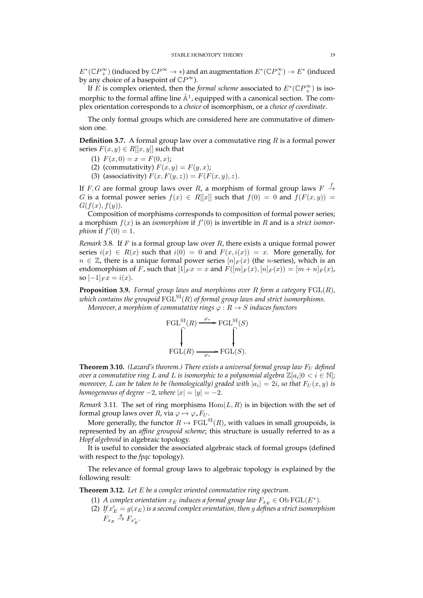$E^*(\mathbb{C}P^{\infty}_+)$  (induced by  $\mathbb{C}P^{\infty}\to *$ ) and an augmentation  $E^*(\mathbb{C}P^{\infty}_+)\to E^*$  (induced by any choice of a basepoint of  $\mathbb{C}P^{\infty}$ ).

If E is complex oriented, then the *formal scheme* associated to  $E^*(\mathbb{C}P_+^{\infty})$  is isomorphic to the formal affine line  $\hat{\mathbb{A}}^1$ , equipped with a canonical section. The complex orientation corresponds to a *choice* of isomorphism, or a *choice of coordinate*.

The only formal groups which are considered here are commutative of dimension one.

**Definition 3.7.** A formal group law over a commutative ring R is a formal power series  $F(x, y) \in R[[x, y]]$  such that

- (1)  $F(x, 0) = x = F(0, x);$
- (2) (commutativity)  $F(x, y) = F(y, x)$ ;
- (3) (associativity)  $F(x, F(y, z)) = F(F(x, y), z)$ .

If F, G are formal group laws over R, a morphism of formal group laws  $F \stackrel{f}{\rightarrow}$ G is a formal power series  $f(x) \in R[[x]]$  such that  $f(0) = 0$  and  $f(F(x, y)) = 0$  $G(f(x), f(y)).$ 

Composition of morphisms corresponds to composition of formal power series; a morphism f(x) is an *isomorphism* if f ′ (0) is invertible in R and is a *strict isomorphism* if  $f'(0) = 1$ .

*Remark* 3.8*.* If F is a formal group law over R, there exists a unique formal power series  $i(x) \in R(x)$  such that  $i(0) = 0$  and  $F(x, i(x)) = x$ . More generally, for  $n \in \mathbb{Z}$ , there is a unique formal power series  $[n]_F(x)$  (the *n*-series), which is an endomorphism of F, such that  $[1]_F x = x$  and  $F([m]_F(x), [n]_F(x)) = [m+n]_F(x)$ , so  $[-1]_F x = i(x)$ .

**Proposition 3.9.** *Formal group laws and morphisms over* R *form a category* FGL(R)*, which contains the groupoid*  $FGL<sup>SI</sup>(R)$  *of formal group laws and strict isomorphisms. Moreover, a morphism of commutative rings*  $\varphi : R \to S$  *induces functors* 



**Theorem 3.10.** *(Lazard's theorem.) There exists a universal formal group law*  $F_U$  *defined over a commutative ring L and L is isomorphic to a polynomial algebra*  $\mathbb{Z}[a_i | 0 < i \in \mathbb{N}]$ *; moreover, L can be taken to be (homologically) graded with*  $|a_i|=2i$ *, so that*  $F_U(x,y)$  *is homogeneous of degree*  $-2$ *, where*  $|x| = |y| = -2$ *.* 

*Remark* 3.11. The set of ring morphisms  $Hom(L, R)$  is in bijection with the set of formal group laws over *R*, via  $\varphi \mapsto \varphi_* F_U$ .

More generally, the functor  $R \mapsto \text{FGL}^{SI}(R)$ , with values in small groupoids, is represented by an *affine groupoid scheme*; this structure is usually referred to as a *Hopf algebroid* in algebraic topology.

It is useful to consider the associated algebraic stack of formal groups (defined with respect to the *fpqc* topology).

The relevance of formal group laws to algebraic topology is explained by the following result:

**Theorem 3.12.** *Let* E *be a complex oriented commutative ring spectrum.*

- (1) *A complex orientation*  $x_E$  *induces a formal group law*  $F_{x_E} \in \text{Ob } \text{FGL}(E^*)$ *.*
- (2) If  $x_E' = g(x_E)$  is a second complex orientation, then  $g$  defines a strict isomorphism  $F_{x_E} \stackrel{g}{\rightarrow} F_{x'_E}.$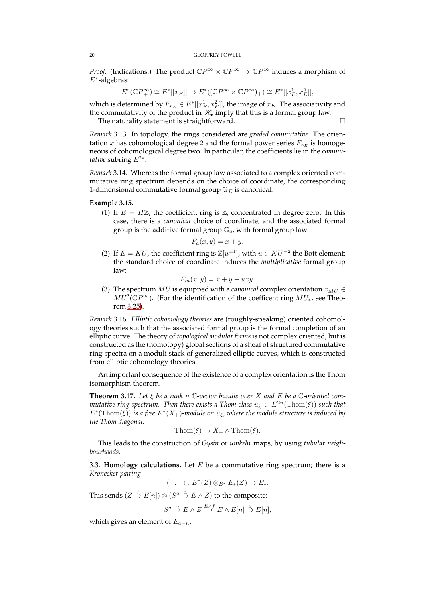*Proof.* (Indications.) The product  $\mathbb{C}P^{\infty} \times \mathbb{C}P^{\infty} \to \mathbb{C}P^{\infty}$  induces a morphism of E<sup>∗</sup> -algebras:

$$
E^*(\mathbb{C}P_+^{\infty}) \cong E^*[[x_E]] \to E^*((\mathbb{C}P^{\infty} \times \mathbb{C}P^{\infty})_+) \cong E^*[[x_E^1, x_E^2]],
$$

which is determined by  $F_{x_E} \in E^*[[x_E^1,x_E^2]]$ , the image of  $x_E$ . The associativity and the commutativity of the product in  $\mathcal{H}_{\bullet}$  imply that this is a formal group law.

The naturality statement is straightforward.

*Remark* 3.13*.* In topology, the rings considered are *graded commutative*. The orientation x has cohomological degree 2 and the formal power series  $F_{x_E}$  is homogeneous of cohomological degree two. In particular, the coefficients lie in the *commutative* subring  $E^{2*}$ .

*Remark* 3.14*.* Whereas the formal group law associated to a complex oriented commutative ring spectrum depends on the choice of coordinate, the corresponding 1-dimensional commutative formal group  $\mathbb{G}_E$  is canonical.

## **Example 3.15.**

(1) If  $E = H\mathbb{Z}$ , the coefficient ring is  $\mathbb{Z}$ , concentrated in degree zero. In this case, there is a *canonical* choice of coordinate, and the associated formal group is the additive formal group  $\mathbb{G}_a$ , with formal group law

$$
F_a(x, y) = x + y.
$$

(2) If  $E = KU$ , the coefficient ring is  $\mathbb{Z}[u^{\pm 1}]$ , with  $u \in KU^{-2}$  the Bott element; the standard choice of coordinate induces the *multiplicative* formal group law:

$$
F_m(x, y) = x + y - uxy.
$$

(3) The spectrum  $MU$  is equipped with a *canonical* complex orientation  $x_{MU} \in$  $MU^2(\mathbb{C}P^{\infty})$ . (For the identification of the coefficent ring  $MU_*$ , see Theorem [3.25\)](#page-21-1).

*Remark* 3.16*. Elliptic cohomology theories* are (roughly-speaking) oriented cohomology theories such that the associated formal group is the formal completion of an elliptic curve. The theory of *topological modular forms* is not complex oriented, but is constructed as the (homotopy) global sections of a sheaf of structured commutative ring spectra on a moduli stack of generalized elliptic curves, which is constructed from elliptic cohomology theories.

An important consequence of the existence of a complex orientation is the Thom isomorphism theorem.

**Theorem 3.17.** *Let* ξ *be a rank* n C*-vector bundle over* X *and* E *be a* C*-oriented commutative ring spectrum. Then there exists a Thom class*  $u_{\xi} \in E^{2n}(\text{Thom}(\xi))$  *such that*  $E^*(\text{Thom}(\xi))$  is a free  $E^*(X_+)$ -module on  $u_{\xi}$ , where the module structure is induced by *the Thom diagonal:*

$$
Thom(\xi) \to X_+ \wedge Thom(\xi).
$$

This leads to the construction of *Gysin* or *umkehr* maps, by using *tubular neighbourhoods*.

<span id="page-19-0"></span>3.3. **Homology calculations.** Let  $E$  be a commutative ring spectrum; there is a *Kronecker pairing*

$$
\langle -, - \rangle : E^*(Z) \otimes_{E^*} E_*(Z) \to E_*.
$$

This sends  $(Z \stackrel{f}{\to} E[n]) \otimes (S^a \stackrel{\alpha}{\to} E \wedge Z)$  to the composite:

$$
S^a \stackrel{\alpha}{\to} E \wedge Z \stackrel{E \wedge f}{\to} E \wedge E[n] \stackrel{\mu}{\to} E[n],
$$

which gives an element of  $E_{a-n}$ .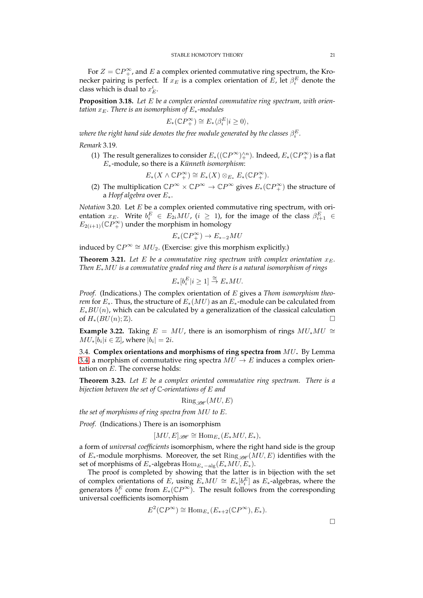For  $Z = \mathbb{C}P^{\infty}_+$ , and E a complex oriented commutative ring spectrum, the Kronecker pairing is perfect. If  $x_E$  is a complex orientation of  $E$ , let  $\beta_i^E$  denote the class which is dual to  $x_E^i$ .

**Proposition 3.18.** *Let* E *be a complex oriented commutative ring spectrum, with orientation*  $x_E$ *. There is an isomorphism of*  $E_*$ -modules

$$
E_*(\mathbb{C}P_+^{\infty}) \cong E_* \langle \beta_i^E | i \ge 0 \rangle,
$$

where the right hand side denotes the free module generated by the classes  $\beta^E_i.$ 

*Remark* 3.19*.*

(1) The result generalizes to consider  $E_*((\mathbb{C}P^\infty)^{\wedge n}_+)$ . Indeed,  $E_*(\mathbb{C}P^\infty_+)$  is a flat E∗-module, so there is a *Künneth isomorphism*:

$$
E_*(X \wedge \mathbb{C}P_+^{\infty}) \cong E_*(X) \otimes_{E_*} E_*(\mathbb{C}P_+^{\infty}).
$$

(2) The multiplication  $\mathbb{C}P^{\infty} \times \mathbb{C}P^{\infty} \to \mathbb{C}P^{\infty}$  gives  $E_*(\mathbb{C}P^{\infty}_+)$  the structure of a *Hopf algebra* over E∗.

*Notation* 3.20*.* Let E be a complex oriented commutative ring spectrum, with orientation  $x_E$ . Write  $b_i^E$   $\in E_{2i}MU$ ,  $(i \geq 1)$ , for the image of the class  $\beta_{i+1}^E$   $\in$  $E_{2(i+1)}(\mathbb{C}P_+^{\infty})$  under the morphism in homology

$$
E_*(\mathbb{C}P_+^{\infty}) \to E_{*-2}MU
$$

induced by  $\mathbb{C}P^{\infty} \cong MU_2$ . (Exercise: give this morphism explicitly.)

**Theorem 3.21.** Let  $E$  be a commutative ring spectrum with complex orientation  $x_E$ . *Then* E∗MU *is a commutative graded ring and there is a natural isomorphism of rings*

$$
E_*[b_i^E|i \ge 1] \stackrel{\cong}{\to} E_*MU.
$$

*Proof.* (Indications.) The complex orientation of E gives a *Thom isomorphism theorem* for  $E_*$ . Thus, the structure of  $E_*(MU)$  as an  $E_*$ -module can be calculated from  $E_*BU(n)$ , which can be calculated by a generalization of the classical calculation of  $H_*(BU(n);\mathbb{Z})$ .

**Example 3.22.** Taking  $E = MU$ , there is an isomorphism of rings  $MU_*MU \cong$  $MU_*[\overline{b}_i | i \in \mathbb{Z}]$ , where  $|b_i| = 2i$ .

<span id="page-20-0"></span>3.4. **Complex orientations and morphisms of ring spectra from** MU**.** By Lemma [3.4,](#page-17-3) a morphism of commutative ring spectra  $MU \to E$  induces a complex orientation on  $E$ . The converse holds:

<span id="page-20-1"></span>**Theorem 3.23.** *Let* E *be a complex oriented commutative ring spectrum. There is a bijection between the set of* C*-orientations of* E *and*

$$
\mathrm{Ring}_{\mathscr{B}\!\!\mathscr{H}}(MU,E)
$$

*the set of morphisms of ring spectra from* MU *to* E*.*

*Proof.* (Indications.) There is an isomorphism

$$
[MU, E]_{\mathcal{B\!H}} \cong \text{Hom}_{E_*}(E_*MU, E_*),
$$

a form of *universal coefficients* isomorphism, where the right hand side is the group of  $E_*$ -module morphisms. Moreover, the set Ring  $\mathscr{P}(MU, E)$  identifies with the set of morphisms of  $E_*$ -algebras  $\mathrm{Hom}_{E_*-\mathrm{alg}}(E_*MU, E_*)$ .

The proof is completed by showing that the latter is in bijection with the set of complex orientations of E, using  $E_*MU \cong E_*[b_i^E]$  as  $E_*$ -algebras, where the generators  $b_i^E$  come from  $E_*(\mathbb{C}P^\infty)$ . The result follows from the corresponding universal coefficients isomorphism

$$
E^2(\mathbb{C}P^\infty) \cong \text{Hom}_{E_*}(E_{*+2}(\mathbb{C}P^\infty), E_*).
$$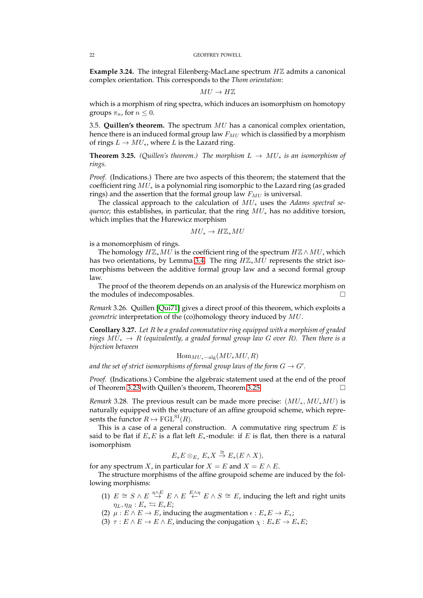**Example 3.24.** The integral Eilenberg-MacLane spectrum HZ admits a canonical complex orientation. This corresponds to the *Thom orientation*:

$$
MU\to H\mathbb{Z}
$$

which is a morphism of ring spectra, which induces an isomorphism on homotopy groups  $\pi_n$ , for  $n \leq 0$ .

<span id="page-21-0"></span>3.5. **Quillen's theorem.** The spectrum MU has a canonical complex orientation, hence there is an induced formal group law  $F_{MU}$  which is classified by a morphism of rings  $L \to MU_*,$  where L is the Lazard ring.

<span id="page-21-1"></span>**Theorem 3.25.** *(Quillen's theorem.)* The morphism  $L \rightarrow MU_*$  *is an isomorphism of rings.*

*Proof.* (Indications.) There are two aspects of this theorem; the statement that the coefficient ring  $MU_*$  is a polynomial ring isomorphic to the Lazard ring (as graded rings) and the assertion that the formal group law  $F_{MU}$  is universal.

The classical approach to the calculation of MU<sup>∗</sup> uses the *Adams spectral sequence*; this establishes, in particular, that the ring  $MU_*$  has no additive torsion, which implies that the Hurewicz morphism

$$
MU_* \to H\mathbb{Z}_*MU
$$

is a monomorphism of rings.

The homology  $H\mathbb{Z}_*MU$  is the coefficient ring of the spectrum  $H\mathbb{Z}\wedge MU$ , which has two orientations, by Lemma [3.4.](#page-17-3) The ring  $H\mathbb{Z}_{*}MU$  represents the strict isomorphisms between the additive formal group law and a second formal group law.

The proof of the theorem depends on an analysis of the Hurewicz morphism on the modules of indecomposables.

*Remark* 3.26*.* Quillen [\[Qui71\]](#page-23-11) gives a direct proof of this theorem, which exploits a *geometric* interpretation of the (co)homology theory induced by MU.

**Corollary 3.27.** *Let* R *be a graded commutative ring equipped with a morphism of graded rings* MU<sup>∗</sup> → R *(equivalently, a graded formal group law* G *over* R*). Then there is a bijection between*

$$
\operatorname{Hom}_{MU_{*} - \operatorname{alg}}(MU_{*}MU, R)
$$

and the set of strict isomorphisms of formal group laws of the form  $G \to G'.$ 

*Proof.* (Indications.) Combine the algebraic statement used at the end of the proof of Theorem [3.23](#page-20-1) with Quillen's theorem, Theorem [3.25.](#page-21-1)

*Remark* 3.28. The previous result can be made more precise:  $(MU_*, MU_*MU)$  is naturally equipped with the structure of an affine groupoid scheme, which represents the functor  $R \mapsto \text{FGL}^{\text{SI}}(R)$ .

This is a case of a general construction. A commutative ring spectrum  $E$  is said to be flat if  $E_*E$  is a flat left  $E_*$ -module: if E is flat, then there is a natural isomorphism

$$
E_*E\otimes_{E_*}E_*X\stackrel{\cong}{\to}E_*(E\wedge X),
$$

for any spectrum X, in particular for  $X = E$  and  $X = E \wedge E$ .

The structure morphisms of the affine groupoid scheme are induced by the following morphisms:

- (1)  $E \cong S \wedge E \stackrel{\eta \wedge E}{\rightarrow} E \wedge E \stackrel{E \wedge \eta}{\leftarrow} E \wedge S \cong E$ , inducing the left and right units  $\eta_L, \eta_R : E_* \leftrightarrows E_*E;$
- (2)  $\mu : E \wedge E \to E$ , inducing the augmentation  $\epsilon : E_*E \to E_*$ ;
- (3)  $\tau : E \wedge E \to E \wedge E$ , inducing the conjugation  $\chi : E_*E \to E_*E$ ;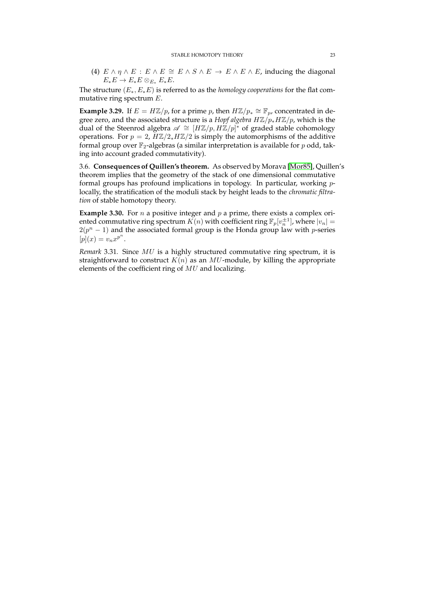(4)  $E \wedge \eta \wedge E : E \wedge E \cong E \wedge S \wedge E \rightarrow E \wedge E \wedge E$ , inducing the diagonal  $E_*E \to E_*E \otimes_{E_*} E_*E$ .

The structure (E∗, E∗E) is referred to as the *homology cooperations* for the flat commutative ring spectrum E.

**Example 3.29.** If  $E = H\mathbb{Z}/p$ , for a prime p, then  $H\mathbb{Z}/p_* \cong \mathbb{F}_p$ , concentrated in degree zero, and the associated structure is a *Hopf algebra HZ*/p<sub>\*</sub>*HZ*/p, which is the dual of the Steenrod algebra  $\mathscr{A} \cong [H\mathbb{Z}/p, H\mathbb{Z}/p]^*$  of graded stable cohomology operations. For  $p = 2$ ,  $H\mathbb{Z}/2$ <sub>\*</sub> $H\mathbb{Z}/2$  is simply the automorphisms of the additive formal group over  $\mathbb{F}_2$ -algebras (a similar interpretation is available for p odd, taking into account graded commutativity).

<span id="page-22-0"></span>3.6. **Consequences of Quillen's theorem.** As observed by Morava [\[Mor85\]](#page-23-18), Quillen's theorem implies that the geometry of the stack of one dimensional commutative formal groups has profound implications in topology. In particular, working plocally, the stratification of the moduli stack by height leads to the *chromatic filtration* of stable homotopy theory.

**Example 3.30.** For  $n$  a positive integer and  $p$  a prime, there exists a complex oriented commutative ring spectrum  $K(n)$  with coefficient ring  $\mathbb{F}_p[v_n^{\pm 1}]$ , where  $|v_n| =$  $2(p^{n}-1)$  and the associated formal group is the Honda group law with *p*-series  $[p](x) = v_n x^{p^n}.$ 

*Remark* 3.31*.* Since MU is a highly structured commutative ring spectrum, it is straightforward to construct  $K(n)$  as an MU-module, by killing the appropriate elements of the coefficient ring of MU and localizing.